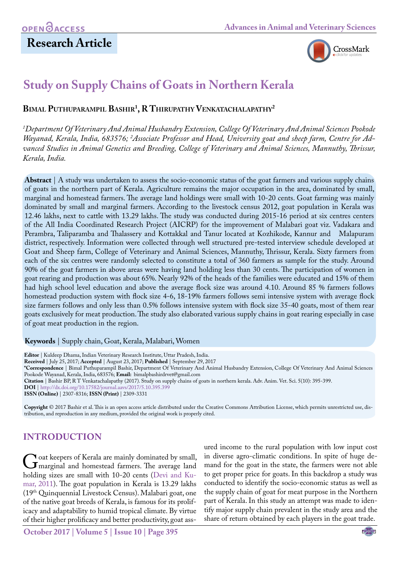# **Research Article**



# **Study on Supply Chains of Goats in Northern Kerala**

**Bimal Puthuparampil Bashir1 , R Thirupathy Venkatachalapathy2**

*1 Department Of Veterinary And Animal Husbandry Extension, College Of Veterinary And Animal Sciences Pookode*  Wayanad, Kerala, India, 683576; <sup>2</sup>Associate Professor and Head, University goat and sheep farm, Centre for Ad*vanced Studies in Animal Genetics and Breeding, College of Veterinary and Animal Sciences, Mannuthy, Thrissur, Kerala, India.*

**Abstract** | A study was undertaken to assess the socio-economic status of the goat farmers and various supply chains of goats in the northern part of Kerala. Agriculture remains the major occupation in the area, dominated by small, marginal and homestead farmers. The average land holdings were small with 10-20 cents. Goat farming was mainly dominated by small and marginal farmers. According to the livestock census 2012, goat population in Kerala was 12.46 lakhs, next to cattle with 13.29 lakhs. The study was conducted during 2015-16 period at six centres centers of the All India Coordinated Research Project (AICRP) for the improvement of Malabari goat viz. Vadakara and Perambra, Taliparamba and Thalassery and Kottakkal and Tanur located at Kozhikode, Kannur and Malapuram district, respectively. Information were collected through well structured pre-tested interview schedule developed at Goat and Sheep farm, College of Veterinary and Animal Sciences, Mannuthy, Thrissur, Kerala. Sixty farmers from each of the six centres were randomly selected to constitute a total of 360 farmers as sample for the study. Around 90% of the goat farmers in above areas were having land holding less than 30 cents. The participation of women in goat rearing and production was about 65%. Nearly 92% of the heads of the families were educated and 15% of them had high school level education and above the average flock size was around 4.10. Around 85 % farmers follows homestead production system with flock size 4-6, 18-19% farmers follows semi intensive system with average flock size farmers follows and only less than 0.5% follows intensive system with flock size 35-40 goats, most of them rear goats exclusively for meat production. The study also elaborated various supply chains in goat rearing especially in case of goat meat production in the region.

**Keywords** | Supply chain, Goat, Kerala, Malabari, Women

**Editor** | Kuldeep Dhama, Indian Veterinary Research Institute, Uttar Pradesh, India. **Received** | July 25, 2017; **Accepted** | August 23, 2017; **Published** | September 29, 2017 **\*Correspondence** | Bimal Puthuparampil Bashir, Department Of Veterinary And Animal Husbandry Extension, College Of Veterinary And Animal Sciences Pookode Wayanad, Kerala, India, 683576; **Email:** bimalpbashirdrvet@gmail.com **Citation** | Bashir BP, R T Venkatachalapathy (2017). Study on supply chains of goats in northern kerala. Adv. Anim. Vet. Sci. 5(10): 395-399. **DOI** | [http://dx.doi.org/10.17582/journal.aavs/2017/5.10.395.399](http://dx.doi.org/10.17582/journal.aavs/2017/5.10.395.399
) **ISSN (Online)** | 2307-8316; **ISSN (Print)** | 2309-3331

**Copyright** © 2017 Bashir et al. This is an open access article distributed under the Creative Commons Attribution License, which permits unrestricted use, distribution, and reproduction in any medium, provided the original work is properly cited.

## **INTRODUCTION**

Goat keepers of Kerala are mainly dominated by small,<br>marginal and homestead farmers. The average land<br>holding sizes are small with 10-20 cents (Devi and Kuholding sizes are small with 10-20 cents (Devi and Ku[mar, 2011\)](#page-4-0). The goat population in Kerala is 13.29 lakhs (19th Quinquennial Livestock Census). Malabari goat, one of the native goat breeds of Kerala, is famous for its prolificacy and adaptability to humid tropical climate. By virtue of their higher prolificacy and better productivity, goat ass-

ured income to the rural population with low input cost in diverse agro-climatic conditions. In spite of huge demand for the goat in the state, the farmers were not able to get proper price for goats. In this backdrop a study was conducted to identify the socio-economic status as well as the supply chain of goat for meat purpose in the Northern part of Kerala. In this study an attempt was made to identify major supply chain prevalent in the study area and the share of return obtained by each players in the goat trade.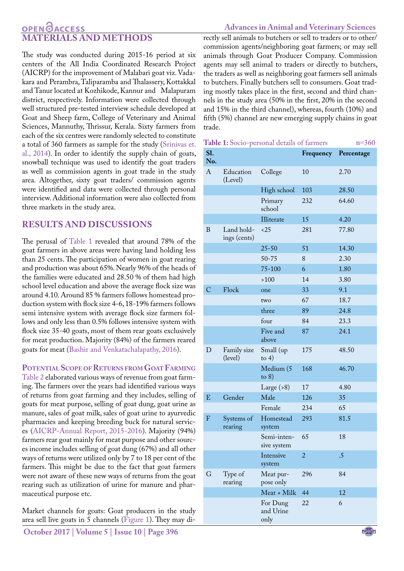## **OPENOACCESS MATERIALS AND METHODS**

The study was conducted during 2015-16 period at six centers of the All India Coordinated Research Project (AICRP) for the improvement of Malabari goat viz. Vadakara and Perambra, Taliparamba and Thalassery, Kottakkal and Tanur located at Kozhikode, Kannur and Malapuram district, respectively. Information were collected through well structured pre-tested interview schedule developed at Goat and Sheep farm, College of Veterinary and Animal Sciences, Mannuthy, Thrissur, Kerala. Sixty farmers from each of the six centres were randomly selected to constitute a total of 360 farmers as sample for the study ([Srinivas et.](#page-4-1) [al., 2014\)](#page-4-1). In order to identify the supply chain of goats, snowball technique was used to identify the goat traders as well as commission agents in goat trade in the study area. Altogether, sixty goat traders/ commission agents were identified and data were collected through personal interview. Additional information were also collected from three markets in the study area.

## **RESULTS AND DISCUSSIONS**

The perusal of [Table 1](#page-1-0) revealed that around 78% of the goat farmers in above areas were having land holding less than 25 cents. The participation of women in goat rearing and production was about 65%. Nearly 96% of the heads of the families were educated and 28.50 % of them had high school level education and above the average flock size was around 4.10. Around 85 % farmers follows homestead production system with flock size 4-6, 18-19% farmers follows semi intensive system with average flock size farmers follows and only less than 0.5% follows intensive system with flock size 35-40 goats, most of them rear goats exclusively for meat production. Majority (84%) of the farmers reared goats for meat ([Bashir and Venkatachalapathy, 2016\)](#page-4-2).

#### **POTENTIAL SCOPE OF RETURNS FROM GOAT FARMING**

[Table 2](#page-2-0) elaborated various ways of revenue from goat farming. The farmers over the years had identified various ways of returns from goat farming and they includes, selling of goats for meat purpose, selling of goat dung, goat urine as manure, sales of goat milk, sales of goat urine to ayurvedic pharmacies and keeping breeding buck for natural services ([AICRP-Annual Report, 2015-2016\)](#page-4-3). Majority (94%) farmers rear goat mainly for meat purpose and other sources income includes selling of goat dung (67%) and all other ways of returns were utilized only by 7 to 18 per cent of the farmers. This might be due to the fact that goat farmers were not aware of these new ways of returns from the goat rearing such as utilization of urine for manure and pharmaceutical purpose etc.

Market channels for goats: Goat producers in the study area sell live goats in 5 channels [\(Figure 1](#page-2-1)). They may di-

### **Advances in Animal and Veterinary Sciences**

rectly sell animals to butchers or sell to traders or to other/ commission agents/neighboring goat farmers; or may sell animals through Goat Producer Company. Commission agents may sell animal to traders or directly to butchers, the traders as well as neighboring goat farmers sell animals to butchers. Finally butchers sell to consumers. Goat trading mostly takes place in the first, second and third channels in the study area (50% in the first, 20% in the second and 15% in the third channel), whereas, fourth (10%) and fifth (5%) channel are new emerging supply chains in goat trade.

<span id="page-1-0"></span>

| Table 1: Socio-personal details of farmers<br>$n=360$ |
|-------------------------------------------------------|
|-------------------------------------------------------|

| S1.<br>No.     |                            |                               | Frequency      | Percentage |
|----------------|----------------------------|-------------------------------|----------------|------------|
| A              | Education<br>(Level)       | College                       | 10             | 2.70       |
|                |                            | High school                   | 103            | 28.50      |
|                |                            | Primary<br>school             | 232            | 64.60      |
|                |                            | Illiterate                    | 15             | 4.20       |
| B              | Land hold-<br>ings (cents) | <25                           | 281            | 77.80      |
|                |                            | $25 - 50$                     | 51             | 14.30      |
|                |                            | $50 - 75$                     | 8              | 2.30       |
|                |                            | $75 - 100$                    | 6              | 1.80       |
|                |                            | $>100$                        | 14             | 3.80       |
| $\overline{C}$ | Flock                      | one                           | 33             | 9.1        |
|                |                            | two                           | 67             | 18.7       |
|                |                            | three                         | 89             | 24.8       |
|                |                            | four                          | 84             | 23.3       |
|                |                            | Five and<br>above             | 87             | 24.1       |
| D              | Family size<br>(level)     | Small (up<br>to $4)$          | 175            | 48.50      |
|                |                            | Medium (5<br>to $8)$          | 168            | 46.70      |
|                |                            | Large $(8)$                   | 17             | 4.80       |
| E              | Gender                     | Male                          | 126            | 35         |
|                |                            | Female                        | 234            | 65         |
| $\mathbf{F}$   | Systems of<br>rearing      | Homestead<br>system           | 293            | 81.5       |
|                |                            | Semi-inten-<br>sive system    | 65             | 18         |
|                |                            | Intensive<br>system           | $\overline{a}$ | .5         |
| G              | Type of<br>rearing         | Meat pur-<br>pose only        | 296            | 84         |
|                |                            | Meat + Milk                   | 44             | 12         |
|                |                            | For Dung<br>and Urine<br>only | 22             | 6          |
|                |                            |                               |                |            |

NE**X**US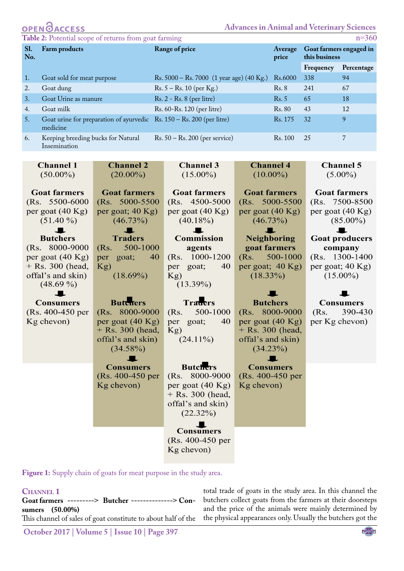# **Advances in Animal and Veterinary Sciences**

**OPEN CACCESS**<br>Table 2: Potential scope of returns from goat farming

<span id="page-2-0"></span>

| <b>There</b> $\mathbb{F}$ is a column occupe of returns from goal numbers<br>11 J V V |                                                                                           |                                                  |                  |                                          |            |  |  |
|---------------------------------------------------------------------------------------|-------------------------------------------------------------------------------------------|--------------------------------------------------|------------------|------------------------------------------|------------|--|--|
| <b>S1.</b><br>No.                                                                     | Farm products                                                                             | Range of price                                   | Average<br>price | Goat farmers engaged in<br>this business |            |  |  |
|                                                                                       |                                                                                           |                                                  |                  | Frequency                                | Percentage |  |  |
|                                                                                       | Goat sold for meat purpose                                                                | Rs. $5000 -$ Rs. $7000$ (1 year age) (40 Kg.)    | Rs.6000          | 338                                      | 94         |  |  |
| 2.                                                                                    | Goat dung                                                                                 | $Rs. 5 - Rs. 10 (per Kg.)$                       | Rs. 8            | 241                                      | 67         |  |  |
| 3.                                                                                    | Goat Urine as manure                                                                      | $Rs. 2 - Rs. 8 (per litre)$                      | Rs. 5            | 65                                       | 18         |  |  |
| 4.                                                                                    | Goat milk                                                                                 | Rs. 60-Rs. 120 (per litre)                       | Rs. 80           | 43                                       | 12         |  |  |
| 5.                                                                                    | Goat urine for preparation of ayurvedic $\quad$ Rs. 150 – Rs. 200 (per litre)<br>medicine |                                                  | Rs. 175          | 32                                       | 9          |  |  |
| 6.                                                                                    | Keeping breeding bucks for Natural<br>Insemination                                        | $\text{Rs. } 50 - \text{Rs. } 200$ (per service) | Rs. 100          | 25                                       |            |  |  |

| <b>Channel 1</b>           | <b>Channel 2</b>           | <b>Channel 3</b>    | <b>Channel 4</b>           | <b>Channel 5</b>      |
|----------------------------|----------------------------|---------------------|----------------------------|-----------------------|
| $(50.00\%)$                | $(20.00\%)$                | $(15.00\%)$         | $(10.00\%)$                | $(5.00\%)$            |
|                            |                            |                     |                            |                       |
| <b>Goat farmers</b>        | <b>Goat farmers</b>        | <b>Goat farmers</b> | <b>Goat farmers</b>        | <b>Goat farmers</b>   |
| (Rs. 5500-6000             | (Rs. 5000-5500)            | (Rs. 4500-5000)     | (Rs. 5000-5500)            | (Rs. 7500-8500)       |
| per goat (40 Kg)           | per goat; 40 Kg)           | per goat (40 Kg)    | per goat (40 Kg)           | per goat (40 Kg)      |
| $(51.40\%)$                | $(46.73\%)$                | $(40.18\%)$         | $(46.73\%)$                | $(85.00\%)$           |
|                            |                            |                     |                            |                       |
| <b>Butchers</b>            | <b>Traders</b>             | <b>Commission</b>   | <b>Neighboring</b>         | <b>Goat producers</b> |
| (Rs. 8000-9000             | 500-1000<br>(Rs.           | agents              | goat farmers               | company               |
| per goat $(40 \text{ Kg})$ | per goat;<br>40            | (Rs. 1000-1200)     | 500-1000<br>(Rs)           | (Rs. 1300-1400)       |
| + Rs. 300 (head,           | Kg)                        | 40<br>goat;<br>per  | per goat; 40 Kg)           | per goat; $40$ Kg)    |
| offal's and skin)          | $(18.69\%)$                | Kg)                 | $(18.33\%)$                | $(15.00\%)$           |
| $(48.69\%)$                |                            | $(13.39\%)$         |                            |                       |
|                            |                            |                     |                            |                       |
| <b>Consumers</b>           | <b>Butchers</b>            | <b>Traders</b>      | <b>Butchers</b>            | <b>Consumers</b>      |
| (Rs. 400-450 per           | (Rs. 8000-9000             | 500-1000<br>(Rs.    | (Rs. 8000-9000             | 390-430<br>(Rs.       |
| Kg chevon)                 | per goat $(40 \text{ Kg})$ | 40<br>goat;<br>per  | per goat $(40 \text{ Kg})$ | per Kg chevon)        |
|                            | $+$ Rs. 300 (head,         | Kg)                 | $+$ Rs. 300 (head,         |                       |
|                            | offal's and skin)          | $(24.11\%)$         | offal's and skin)          |                       |
|                            | $(34.58\%)$                |                     | (34.23%)                   |                       |
|                            |                            |                     |                            |                       |
|                            | <b>Consumers</b>           | <b>Butchers</b>     | <b>Consumers</b>           |                       |
|                            | (Rs. 400-450 per           | (Rs. 8000-9000      | (Rs. 400-450 per           |                       |
|                            | Kg chevon)                 | per goat (40 Kg)    | Kg chevon)                 |                       |
|                            |                            | $+$ Rs. 300 (head,  |                            |                       |
|                            |                            | offal's and skin)   |                            |                       |
|                            |                            | $(22.32\%)$         |                            |                       |
|                            |                            |                     |                            |                       |
|                            |                            | <b>Consumers</b>    |                            |                       |
|                            |                            | (Rs. 400-450 per    |                            |                       |
|                            |                            | Kg chevon)          |                            |                       |
|                            |                            |                     |                            |                       |

<span id="page-2-1"></span>**Figure 1:** Supply chain of goats for meat purpose in the study area.

**Channel 1 Goat farmers ---------> Butcher --------------> Consumers (50.00%)** This channel of sales of goat constitute to about half of the total trade of goats in the study area. In this channel the butchers collect goats from the farmers at their doorsteps and the price of the animals were mainly determined by the physical appearances only. Usually the butchers got the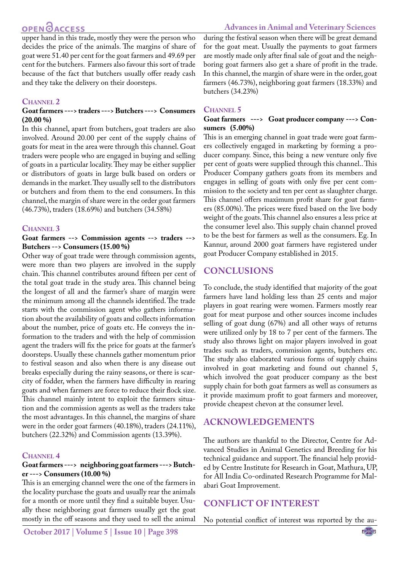# **OPEN GACCESS**

upper hand in this trade, mostly they were the person who decides the price of the animals. The margins of share of goat were 51.40 per cent for the goat farmers and 49.69 per cent for the butchers. Farmers also favour this sort of trade because of the fact that butchers usually offer ready cash and they take the delivery on their doorsteps.

#### CHANNEL 2

#### **Goat farmers ---> traders ---> Butchers ---> Consumers (20.00 %)**

In this channel, apart from butchers, goat traders are also involved. Around 20.00 per cent of the supply chains of goats for meat in the area were through this channel. Goat traders were people who are engaged in buying and selling of goats in a particular locality. They may be either supplier or distributors of goats in large bulk based on orders or demands in the market. They usually sell to the distributors or butchers and from them to the end consumers. In this channel, the margin of share were in the order goat farmers (46.73%), traders (18.69%) and butchers (34.58%)

#### **Channel 3**

#### **Goat farmers --> Commission agents --> traders --> Butchers --> Consumers (15.00 %)**

Other way of goat trade were through commission agents, were more than two players are involved in the supply chain. This channel contributes around fifteen per cent of the total goat trade in the study area. This channel being the longest of all and the farmer's share of margin were the minimum among all the channels identified. The trade starts with the commission agent who gathers information about the availability of goats and collects information about the number, price of goats etc. He conveys the information to the traders and with the help of commission agent the traders will fix the price for goats at the farmer's doorsteps. Usually these channels gather momentum prior to festival season and also when there is any disease out breaks especially during the rainy seasons, or there is scarcity of fodder, when the farmers have difficulty in rearing goats and when farmers are force to reduce their flock size. This channel mainly intent to exploit the farmers situation and the commission agents as well as the traders take the most advantages. In this channel, the margins of share were in the order goat farmers (40.18%), traders (24.11%), butchers (22.32%) and Commission agents (13.39%).

#### **Channel 4**

#### **Goat farmers ---> neighboring goat farmers ---> Butcher ---> Consumers (10.00 %)**

This is an emerging channel were the one of the farmers in the locality purchase the goats and usually rear the animals for a month or more until they find a suitable buyer. Usually these neighboring goat farmers usually get the goat mostly in the off seasons and they used to sell the animal

**October 2017 | Volume 5 | Issue 10 | Page 398**

during the festival season when there will be great demand for the goat meat. Usually the payments to goat farmers are mostly made only after final sale of goat and the neighboring goat farmers also get a share of profit in the trade. In this channel, the margin of share were in the order, goat farmers (46.73%), neighboring goat farmers (18.33%) and butchers (34.23%)

#### **Channel 5**

#### **Goat farmers ---> Goat producer company ---> Consumers (5.00%)**

This is an emerging channel in goat trade were goat farmers collectively engaged in marketing by forming a producer company. Since, this being a new venture only five per cent of goats were supplied through this channel.. This Producer Company gathers goats from its members and engages in selling of goats with only five per cent commission to the society and ten per cent as slaughter charge. This channel offers maximum profit share for goat farmers (85.00%). The prices were fixed based on the live body weight of the goats. This channel also ensures a less price at the consumer level also. This supply chain channel proved to be the best for farmers as well as the consumers. Eg. In Kannur, around 2000 goat farmers have registered under goat Producer Company established in 2015.

## **CONCLUSIONS**

To conclude, the study identified that majority of the goat farmers have land holding less than 25 cents and major players in goat rearing were women. Farmers mostly rear goat for meat purpose and other sources income includes selling of goat dung (67%) and all other ways of returns were utilized only by 18 to 7 per cent of the farmers. The study also throws light on major players involved in goat trades such as traders, commission agents, butchers etc. The study also elaborated various forms of supply chains involved in goat marketing and found out channel 5, which involved the goat producer company as the best supply chain for both goat farmers as well as consumers as it provide maximum profit to goat farmers and moreover, provide cheapest chevon at the consumer level.

## **ACKNOWLEDGEMENTS**

The authors are thankful to the Director, Centre for Advanced Studies in Animal Genetics and Breeding for his technical guidance and support. The financial help provided by Centre Institute for Research in Goat, Mathura, UP, for All India Co-ordinated Research Programme for Malabari Goat Improvement.

## **Conflict of Interest**

No potential conflict of interest was reported by the au-